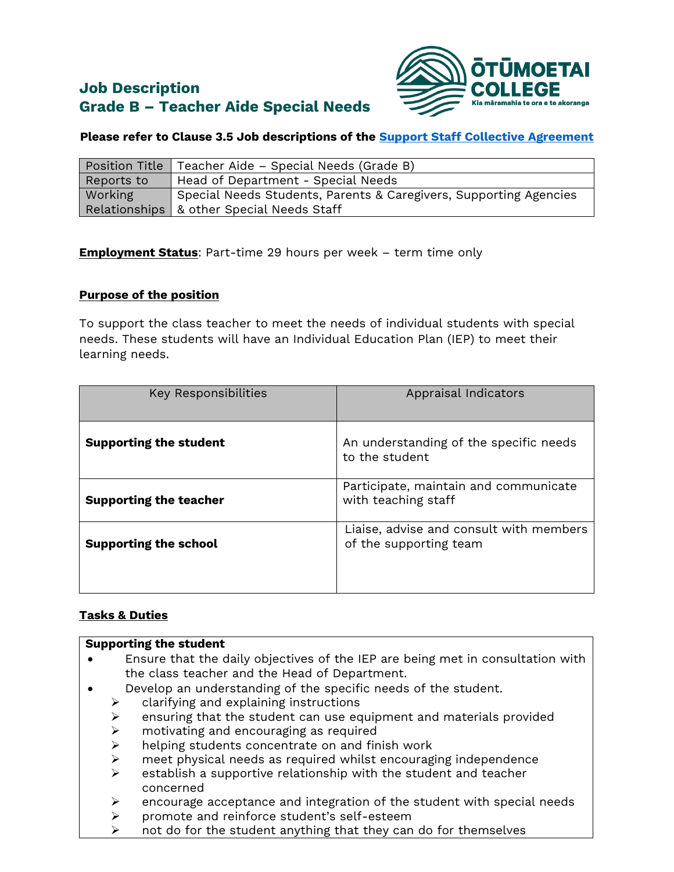# **Job Description Grade B – Teacher Aide Special Needs**



# **Please refer to Clause 3.5 Job descriptions of the [Support Staff Collective Agreement](https://www.education.govt.nz/school/people-and-employment/employment-agreements/collective-agreements/support-staff-in-schools-collective-agreement/)**

|            | Position Title   Teacher Aide – Special Needs (Grade B)           |
|------------|-------------------------------------------------------------------|
| Reports to | Head of Department - Special Needs                                |
| Working    | Special Needs Students, Parents & Caregivers, Supporting Agencies |
|            | Relationships   & other Special Needs Staff                       |

**Employment Status**: Part-time 29 hours per week – term time only

## **Purpose of the position**

To support the class teacher to meet the needs of individual students with special needs. These students will have an Individual Education Plan (IEP) to meet their learning needs.

| <b>Key Responsibilities</b>   | Appraisal Indicators                                              |
|-------------------------------|-------------------------------------------------------------------|
| <b>Supporting the student</b> | An understanding of the specific needs<br>to the student          |
| <b>Supporting the teacher</b> | Participate, maintain and communicate<br>with teaching staff      |
| <b>Supporting the school</b>  | Liaise, advise and consult with members<br>of the supporting team |
|                               |                                                                   |

# **Tasks & Duties**

| <b>Supporting the student</b> |   |                                                                                |  |
|-------------------------------|---|--------------------------------------------------------------------------------|--|
|                               |   | Ensure that the daily objectives of the IEP are being met in consultation with |  |
|                               |   | the class teacher and the Head of Department.                                  |  |
|                               |   | Develop an understanding of the specific needs of the student.                 |  |
|                               | ➤ | clarifying and explaining instructions                                         |  |
|                               | ➤ | ensuring that the student can use equipment and materials provided             |  |
|                               | ➤ | motivating and encouraging as required                                         |  |
|                               | ≻ | helping students concentrate on and finish work                                |  |
|                               | ➤ | meet physical needs as required whilst encouraging independence                |  |
|                               | ➤ | establish a supportive relationship with the student and teacher               |  |
|                               |   | concerned                                                                      |  |
|                               | ➤ | encourage acceptance and integration of the student with special needs         |  |
|                               | ⋗ | promote and reinforce student's self-esteem                                    |  |

 $\triangleright$  not do for the student anything that they can do for themselves